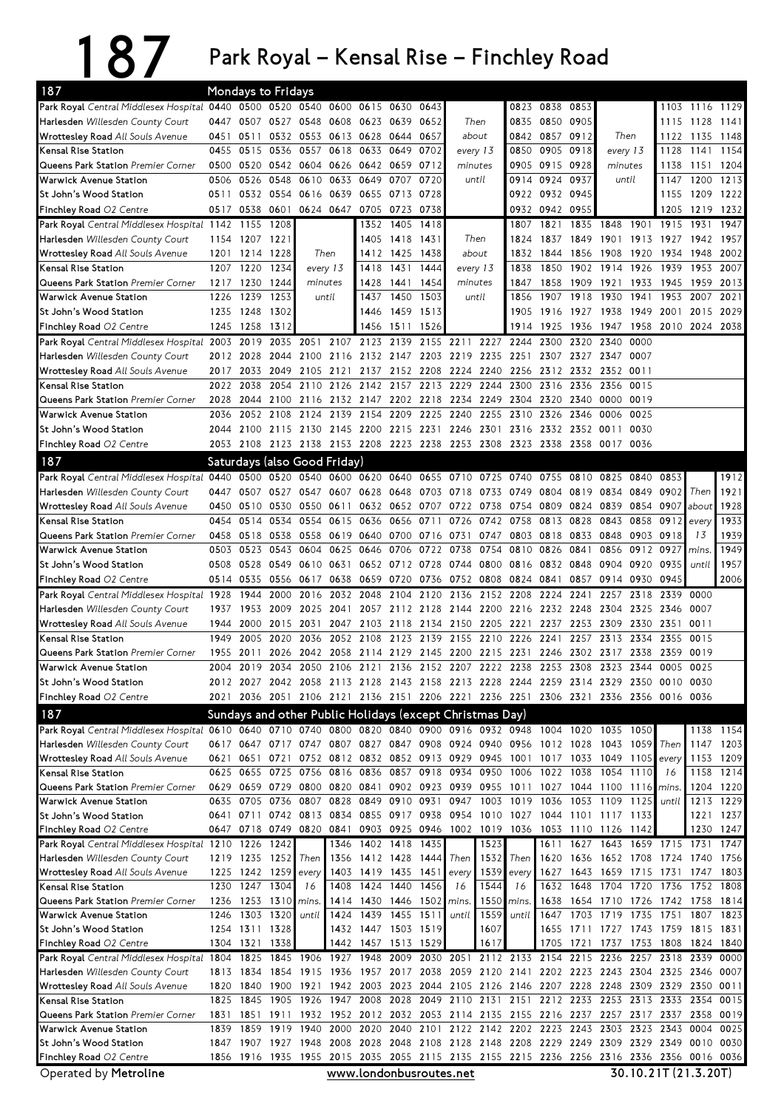## 187 Park Royal – Kensal Rise – Finchley Road

| 187                                                                                                              |              |                             | <b>Mondays to Fridays</b> |                                                                                           |                     |                |                                  |              |                                    |              |                                                                  |                   |                                                                       |                          |                      |              |                |                        |
|------------------------------------------------------------------------------------------------------------------|--------------|-----------------------------|---------------------------|-------------------------------------------------------------------------------------------|---------------------|----------------|----------------------------------|--------------|------------------------------------|--------------|------------------------------------------------------------------|-------------------|-----------------------------------------------------------------------|--------------------------|----------------------|--------------|----------------|------------------------|
| Park Royal Central Middlesex Hospital 0440 0500 0520 0540 0600                                                   |              |                             |                           |                                                                                           |                     | 0615 0630      |                                  | 0643         |                                    |              | 0823                                                             | 0838              | 0853                                                                  |                          |                      |              | 1103 1116 1129 |                        |
| Harlesden Willesden County Court                                                                                 | 0447         | 0507                        | 0527                      | 0548                                                                                      | 0608                | 0623           | 0639                             | 0652         |                                    | Then         | 0835                                                             | 0850              | 0905                                                                  |                          |                      | 1115         | 1128           | 1141                   |
| <b>Wrottesley Road All Souls Avenue</b>                                                                          |              | 0451 0511                   |                           | 0532 0553 0613 0628 0644 0657                                                             |                     |                |                                  |              | about                              |              |                                                                  | 0842 0857         | 0912                                                                  | Then                     |                      | 1122         | 1135           | 1148                   |
| Kensal Rise Station                                                                                              | 0455         | 0515                        | 0536                      | 0557                                                                                      | 0618                | 0633           | 0649                             | 0702         |                                    | every 13     | 0850                                                             | 0905              | 0918                                                                  | every 13                 |                      | 1128         | 1141 1154      |                        |
| Queens Park Station Premier Corner<br>Warwick Avenue Station                                                     | 0500<br>0506 | 0520<br>0526                | 0548                      | 0542 0604 0626 0642 0659<br>0610                                                          | 0633                | 0649           | 0707                             | 0712<br>0720 | minutes                            | until        | 0905                                                             | 0915<br>0914 0924 | 0928<br>0937                                                          | minutes<br>until         |                      | 1138<br>1147 | 1151<br>1200   | 1204<br>1213           |
| St John's Wood Station                                                                                           | 0511         |                             | 0532 0554                 | 0616 0639                                                                                 |                     | 0655           | 0713                             | 0728         |                                    |              |                                                                  | 0922 0932         | 0945                                                                  |                          |                      | 1155         | 1209 1222      |                        |
| Finchley Road O2 Centre                                                                                          | 0517         | 0538                        | 0601                      |                                                                                           | 0624 0647 0705 0723 |                |                                  | 0738         |                                    |              | 0932                                                             | 0942              | 0955                                                                  |                          |                      | 1205         | 1219 1232      |                        |
| Park Royal Central Middlesex Hospital 1142                                                                       |              | 1155                        | 1208                      |                                                                                           |                     | 1352           | 1405                             | 1418         |                                    |              | 1807                                                             | 1821              | 1835                                                                  | 1848                     | 1901                 | 1915         | 1931           | 1947                   |
| Harlesden Willesden County Court                                                                                 | 1154         | 1207                        | 1221                      |                                                                                           |                     | 1405           | 1418                             | 1431         |                                    | Then         | 1824                                                             | 1837              | 1849                                                                  | 1901                     | 1913                 | 1927         | 1942           | 1957                   |
| <b>Wrottesley Road All Souls Avenue</b>                                                                          | 1201         | 1214                        | 1228                      | Then                                                                                      |                     | 1412           | 1425                             | 1438         | about                              |              | 1832                                                             | 1844              | 1856                                                                  | 1908                     | 1920                 | 1934         | 1948           | 2002                   |
| Kensal Rise Station                                                                                              | 1207         | 1220                        | 1234                      |                                                                                           | every 13            | 1418           | 1431                             | 1444         |                                    | every 13     | 1838                                                             | 1850              | 1902                                                                  | 1914                     | 1926                 | 1939         | 1953           | 2007                   |
| Queens Park Station Premier Corner                                                                               | 1217         | 1230                        | 1244                      | minutes                                                                                   |                     | 1428           | 1441                             | 1454         | minutes                            |              | 1847                                                             | 1858              | 1909                                                                  | 1921                     | 1933                 | 1945         | 1959           | 2013                   |
| Warwick Avenue Station                                                                                           | 1226         | 1239                        | 1253                      | until                                                                                     |                     | 1437           | 1450                             | 1503         |                                    | until        | 1856                                                             | 1907              | 1918                                                                  | 1930                     | 1941                 | 1953         | 2007           | 2021                   |
| St John's Wood Station                                                                                           | 1235         | 1248                        | 1302                      |                                                                                           |                     | 1446           | 1459                             | 1513         |                                    |              | 1905                                                             | 1916              | 1927                                                                  | 1938                     | 1949                 | 2001         | 2015           | 2029                   |
| Finchley Road O2 Centre                                                                                          | 1245         | 1258                        | 1312                      |                                                                                           |                     | 1456           | 1511                             | 1526         |                                    |              | 1914                                                             | 1925              | 1936                                                                  | 1947                     | 1958                 | 2010         | 2024           | 2038                   |
| Park Royal Central Middlesex Hospital 2003                                                                       |              | 2019                        | 2035                      | 2051                                                                                      | 2107                | 2123 2139      |                                  |              |                                    |              | 2155 2211 2227 2244 2300                                         |                   | 2320                                                                  | 2340                     | 0000                 |              |                |                        |
| Harlesden Willesden County Court<br><b>Wrottesley Road All Souls Avenue</b>                                      | 2012<br>2017 | 2028<br>2033                | 2044<br>2049              | 2105                                                                                      | 2100 2116<br>2121   | 2132           | 2147<br>2137 2152 2208           |              | 2203 2219 2235<br>2224             | 2240         | 2251                                                             | 2307<br>2256 2312 | 2327<br>2332                                                          | 2347<br>2352             | 0007<br>0011         |              |                |                        |
| Kensal Rise Station                                                                                              | 2022         | 2038                        | 2054                      | 2110                                                                                      |                     | 2126 2142      | 2157                             |              | 2213 2229                          | 2244         | 2300                                                             | 2316              | 2336                                                                  | 2356                     | 0015                 |              |                |                        |
| Queens Park Station Premier Corner                                                                               | 2028         | 2044                        | 2100                      | 2116                                                                                      |                     | 2132 2147      | 2202 2218 2234                   |              |                                    | 2249         | 2304                                                             | 2320              | 2340                                                                  | 0000                     | 0019                 |              |                |                        |
| <b>Warwick Avenue Station</b>                                                                                    | 2036         | 2052                        | 2108                      | 2124                                                                                      | 2139                | 2154           | 2209                             | 2225         | 2240                               | 2255         | 2310                                                             | 2326              | 2346                                                                  | 0006                     | 0025                 |              |                |                        |
| St John's Wood Station                                                                                           | 2044         | 2100                        | 2115                      | 2130                                                                                      |                     | 2145 2200      | 2215                             | 2231 2246    |                                    | 2301         | 2316                                                             | 2332              | 2352                                                                  | 0011                     | 0030                 |              |                |                        |
| Finchley Road O2 Centre                                                                                          |              | 2053 2108                   |                           | 2123 2138 2153 2208 2223 2238 2253 2308 2323 2338                                         |                     |                |                                  |              |                                    |              |                                                                  |                   | 2358                                                                  | 0017                     | 0036                 |              |                |                        |
| 187                                                                                                              |              |                             |                           | Saturdays (also Good Friday)                                                              |                     |                |                                  |              |                                    |              |                                                                  |                   |                                                                       |                          |                      |              |                |                        |
| Park Royal Central Middlesex Hospital                                                                            | 0440         | 0500                        | 0520                      | 0540                                                                                      | 0600                | 0620 0640      |                                  |              | 0655 0710                          | 0725         | 0740                                                             | 0755              | 0810                                                                  | 0825                     | 0840                 | 0853         |                | 1912                   |
| Harlesden Willesden County Court                                                                                 | 0447         | 0507                        | 0527 0547                 |                                                                                           |                     | 0607 0628      | 0648                             | 0703 0718    |                                    | 0733         | 0749                                                             |                   | 0804 0819 0834 0849                                                   |                          |                      | 0902         | Then           | 1921                   |
| <b>Wrottesley Road All Souls Avenue</b>                                                                          | 0450         | 0510                        | 0530                      | 0550                                                                                      | 0611                |                | 0632 0652 0707 0722              |              |                                    | 0738         | 0754                                                             | 0809              | 0824                                                                  | 0839                     | 0854 0907            |              | about          | 1928                   |
| Kensal Rise Station                                                                                              | 0454         | 0514                        | 0534                      | 0554                                                                                      | 0615                | 0636           | 0656                             | 0711         | 0726                               | 0742         | 0758                                                             | 0813              | 0828                                                                  | 0843                     | 0858                 | 0912         | every          | 1933                   |
| Queens Park Station Premier Corner                                                                               | 0458         | 0518                        | 0538                      | 0558                                                                                      |                     |                | 0619 0640 0700 0716 0731         |              |                                    | 0747         |                                                                  | 0803 0818         | 0833                                                                  | 0848                     | 0903                 | 0918         | 13             | 1939                   |
| <b>Warwick Avenue Station</b>                                                                                    | 0503         | 0523                        | 0543                      | 0604                                                                                      | 0625                | 0646           | 0706                             | 0722 0738    |                                    | 0754         | 0810                                                             | 0826              | 0841                                                                  | 0856                     | 0912                 | 0927         | mins.          | 1949                   |
| St John's Wood Station                                                                                           | 0508         | 0528                        | 0549                      | 0610                                                                                      | 0631                |                | 0652 0712 0728                   |              | 0744                               | 0800         | 0816                                                             | 0832              | 0848                                                                  | 0904                     | 0920                 | 0935         | until          | 1957                   |
| Finchley Road O2 Centre                                                                                          | 0514         | 0535                        | 0556                      | 0617                                                                                      | 0638                | 0659           | 0720                             |              | 0736 0752                          | 0808         | 0824                                                             | 0841              | 0857                                                                  | 0914                     | 0930                 | 0945         |                | 2006                   |
| Park Royal Central Middlesex Hospital 1928                                                                       |              | 1944                        | 2000                      | 2016                                                                                      |                     | 2032 2048      | 2104                             | 2120<br>2128 | 2136                               | 2152<br>2200 | 2208                                                             | 2224              | 2241                                                                  | 2257                     | 2318<br>2325         | 2339         | 0000<br>0007   |                        |
| Harlesden Willesden County Court<br><b>Wrottesley Road All Souls Avenue</b>                                      | 1937<br>1944 | 1953<br>2000                | 2009<br>2015              | 2025<br>2031                                                                              | 2041<br>2047        | 2057<br>2103   | 2112<br>2118                     | 2134 2150    | 2144                               | 2205         | 2216<br>2221                                                     | 2232<br>2237      | 2248<br>2253                                                          | 2304<br>2309             | 2330                 | 2346<br>2351 | 0011           |                        |
| Kensal Rise Station                                                                                              | 1949         | 2005                        | 2020                      | 2036                                                                                      | 2052                | 2108           | 2123                             | 2139         | 2155                               | 2210         | 2226                                                             | 2241              | 2257                                                                  | 2313                     | 2334                 | 2355         | 0015           |                        |
| Queens Park Station Premier Corner                                                                               | 1955         | 2011                        | 2026                      |                                                                                           | 2042 2058 2114 2129 |                |                                  |              | 2145 2200                          |              | 2215 2231                                                        |                   | 2246 2302 2317                                                        |                          | 2338                 | 2359         | 0019           |                        |
| Warwick Avenue Station                                                                                           | 2004         | 2019                        | 2034                      | 2050                                                                                      |                     |                |                                  |              | 2106 2121 2136 2152 2207 2222 2238 |              |                                                                  | 2253              | 2308                                                                  | 2323                     | 2344                 | 0005         | 0025           |                        |
| St John's Wood Station                                                                                           |              |                             |                           | 2012 2027 2042 2058 2113 2128 2143 2158 2213 2228 2244 2259 2314 2329 2350 0010 0030      |                     |                |                                  |              |                                    |              |                                                                  |                   |                                                                       |                          |                      |              |                |                        |
| Finchley Road O2 Centre                                                                                          |              |                             |                           | 2021 2036 2051 2106 2121 2136 2151 2206 2221 2236 2251 2306 2321 2336 2356 0016 0036      |                     |                |                                  |              |                                    |              |                                                                  |                   |                                                                       |                          |                      |              |                |                        |
| 187                                                                                                              |              |                             |                           | Sundays and other Public Holidays (except Christmas Day)                                  |                     |                |                                  |              |                                    |              |                                                                  |                   |                                                                       |                          |                      |              |                |                        |
| Park Royal Central Middlesex Hospital 0610 0640 0710 0740 0800 0820 0840 0900 0916 0932 0948 1004 1020 1035 1050 |              |                             |                           |                                                                                           |                     |                |                                  |              |                                    |              |                                                                  |                   |                                                                       |                          |                      |              |                | 1138 1154              |
| Harlesden Willesden County Court                                                                                 |              |                             |                           | 0617 0647 0717 0747 0807 0827 0847 0908 0924 0940 0956 1012 1028 1043 1059 Then           |                     |                |                                  |              |                                    |              |                                                                  |                   |                                                                       |                          |                      |              | 1147 1203      |                        |
| <b>Wrottesley Road All Souls Avenue</b>                                                                          | 0621         | 0651                        |                           | 0721 0752 0812 0832 0852 0913 0929 0945 1001 1017 1033 1049 1105                          |                     |                |                                  |              |                                    |              |                                                                  |                   |                                                                       |                          |                      | every        |                | 1153 1209              |
| Kensal Rise Station                                                                                              |              |                             | 0625 0655 0725            | 0756                                                                                      |                     |                | 0816 0836 0857 0918 0934         |              |                                    |              | 0950 1006 1022 1038                                              |                   |                                                                       | 1054 1110                |                      | 16           |                | 1158 1214              |
| Queens Park Station Premier Corner                                                                               | 0629         |                             | 0635 0705 0736 0807       | 0659 0729 0800 0820 0841 0902 0923 0939                                                   |                     |                |                                  |              | 0947                               |              | 1003 1019 1036                                                   |                   | 0955 1011 1027 1044 1100 1116<br>1053 1109                            |                          | 1125                 | mins.        |                | 1204 1220              |
| Warwick Avenue Station<br>St John's Wood Station                                                                 |              |                             |                           | 0641 0711 0742 0813 0834 0855 0917 0938 0954                                              |                     |                | 0828 0849 0910 0931              |              |                                    |              |                                                                  |                   | 1010 1027 1044 1101 1117 1133                                         |                          |                      | until        |                | 1213 1229<br>1221 1237 |
| Finchley Road O2 Centre                                                                                          |              |                             | 0647 0718 0749 0820       |                                                                                           | 0841                | 0903 0925      |                                  | 0946 1002    |                                    |              |                                                                  |                   | 1019 1036 1053 1110 1126                                              |                          | 1142                 |              | 1230           | 1247                   |
| Park Royal Central Middlesex Hospital 1210 1226                                                                  |              |                             | 1242                      |                                                                                           |                     | 1346 1402 1418 |                                  | 1435         |                                    | 1523         |                                                                  | 1611              | 1627                                                                  | 1643                     | 1659 1715            |              | 1731           | 1747                   |
| Harlesden Willesden County Court                                                                                 |              |                             | 1219 1235 1252            | Then                                                                                      |                     |                | 1356 1412 1428 1444              |              | Then                               | 1532         | Then                                                             | 1620              |                                                                       | 1636 1652 1708 1724      |                      |              | 1740 1756      |                        |
| <b>Wrottesley Road All Souls Avenue</b>                                                                          |              |                             | 1225 1242 1259            | every                                                                                     |                     |                | 1403 1419 1435 1451              |              | every                              | 1539         | every                                                            | 1627              |                                                                       | 1643 1659 1715 1731      |                      |              | 1747 1803      |                        |
| Kensal Rise Station                                                                                              |              | 1230 1247 1304              |                           | 16                                                                                        | 1408                | 1424 1440      |                                  | 1456         | 16                                 | 1544         | 16                                                               | 1632              | 1648                                                                  | 1704 1720                |                      | 1736         | 1752           | 1808                   |
| Queens Park Station Premier Corner                                                                               |              |                             | 1236 1253 1310            | mins.                                                                                     |                     |                | 1414 1430 1446 1502              |              | mins.                              | 1550         | mins.                                                            | 1638              |                                                                       | 1654 1710 1726 1742 1758 |                      |              |                | 1814                   |
| <b>Warwick Avenue Station</b>                                                                                    |              | 1246 1303 1320              |                           | until                                                                                     | 1424                | 1439           | 1455                             | 1511         | until                              | 1559         | until                                                            | 1647              |                                                                       | 1703 1719                | 1735 1751            |              | 1807           | 1823                   |
| St John's Wood Station<br>Finchley Road O2 Centre                                                                |              | 1254 1311 1328<br>1304 1321 | 1338                      |                                                                                           | 1442                | 1457           | 1432 1447 1503 1519<br>1513 1529 |              |                                    | 1607<br>1617 |                                                                  | 1705              | 1655 1711 1727 1743 1759 1815 1831<br>1721                            | 1737                     | 1753 1808            |              | 1824 1840      |                        |
| Park Royal Central Middlesex Hospital 1804 1825                                                                  |              |                             | 1845                      | 1906                                                                                      | 1927 1948           |                | 2009                             |              |                                    |              | 2030 2051 2112 2133 2154                                         |                   | 2215 2236 2257 2318                                                   |                          |                      |              | 2339           | 0000                   |
| Harlesden Willesden County Court                                                                                 |              | 1813 1834                   | 1854                      | 1915                                                                                      |                     |                | 1936 1957 2017                   |              |                                    |              |                                                                  |                   | 2038 2059 2120 2141 2202 2223 2243 2304 2325 2346 0007                |                          |                      |              |                |                        |
|                                                                                                                  |              |                             |                           |                                                                                           |                     |                |                                  |              |                                    |              | 1942 2003 2023 2044 2105 2126 2146 2207 2228 2248 2309 2329 2350 |                   |                                                                       |                          |                      |              |                | 0011                   |
| Wrottesley Road All Souls Avenue                                                                                 | 1820 1840    |                             | 1900                      | 1921                                                                                      |                     |                |                                  |              |                                    |              |                                                                  |                   |                                                                       |                          |                      |              |                |                        |
| Kensal Rise Station                                                                                              |              | 1825 1845                   | 1905                      | 1926                                                                                      |                     |                |                                  |              |                                    |              |                                                                  |                   | 1947 2008 2028 2049 2110 2131 2151 2212 2233 2253 2313 2333           |                          |                      |              | 2354           | 0015                   |
| Queens Park Station Premier Corner                                                                               | 1831         | 1851 1911                   |                           |                                                                                           |                     |                |                                  |              |                                    |              |                                                                  |                   | 1932 1952 2012 2032 2053 2114 2135 2155 2216 2237 2257 2317 2337 2358 |                          |                      |              |                |                        |
| Warwick Avenue Station                                                                                           |              | 1839 1859                   | 1919                      | 1940                                                                                      |                     |                |                                  |              |                                    |              |                                                                  |                   | 2000 2020 2040 2101 2122 2142 2202 2223 2243 2303 2323 2343 0004      |                          |                      |              |                |                        |
| St John's Wood Station                                                                                           |              |                             |                           | 1847 1907 1927 1948 2008 2028 2048 2108 2128 2148 2208 2229 2249 2309 2329 2349 0010 0030 |                     |                |                                  |              |                                    |              |                                                                  |                   |                                                                       |                          |                      |              |                |                        |
| Finchley Road O2 Centre<br>Operated by Metroline                                                                 |              |                             |                           | 1856 1916 1935 1955 2015 2035 2055 2115 2135 2155 2215 2236 2256 2316 2336 2356 0016 0036 |                     |                |                                  |              | www.londonbusroutes.net            |              |                                                                  |                   |                                                                       |                          | 30.10.21T (21.3.20T) |              |                | 0019<br>0025           |